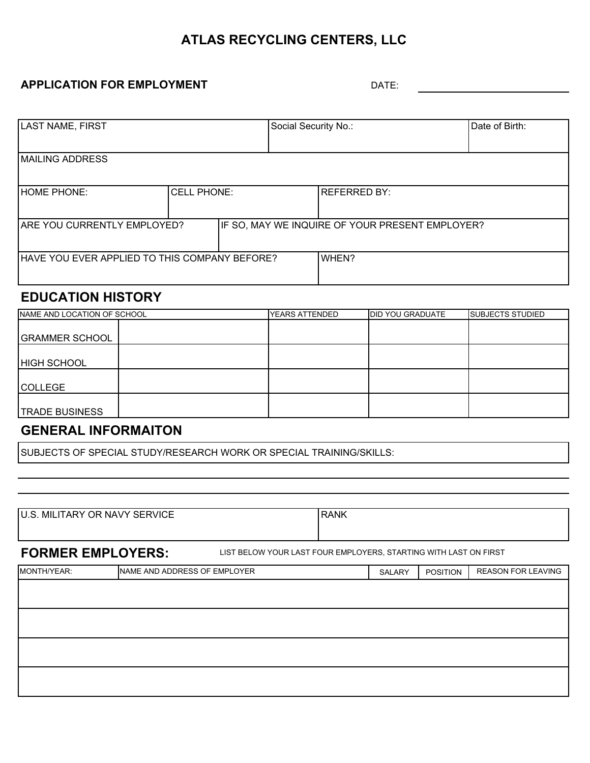## **ATLAS RECYCLING CENTERS, LLC**

#### **APPLICATION FOR EMPLOYMENT**

DATE:

| LAST NAME, FIRST                              |                    | Social Security No.: |                                                 | Date of Birth:      |  |
|-----------------------------------------------|--------------------|----------------------|-------------------------------------------------|---------------------|--|
|                                               |                    |                      |                                                 |                     |  |
|                                               |                    |                      |                                                 |                     |  |
| <b>MAILING ADDRESS</b>                        |                    |                      |                                                 |                     |  |
|                                               |                    |                      |                                                 |                     |  |
|                                               |                    |                      |                                                 |                     |  |
|                                               |                    |                      |                                                 |                     |  |
| <b>HOME PHONE:</b>                            | <b>CELL PHONE:</b> |                      |                                                 | <b>REFERRED BY:</b> |  |
|                                               |                    |                      |                                                 |                     |  |
|                                               |                    |                      |                                                 |                     |  |
|                                               |                    |                      |                                                 |                     |  |
| ARE YOU CURRENTLY EMPLOYED?                   |                    |                      | IF SO, MAY WE INQUIRE OF YOUR PRESENT EMPLOYER? |                     |  |
|                                               |                    |                      |                                                 |                     |  |
|                                               |                    |                      |                                                 |                     |  |
|                                               |                    |                      |                                                 |                     |  |
| HAVE YOU EVER APPLIED TO THIS COMPANY BEFORE? |                    |                      |                                                 | WHEN?               |  |
|                                               |                    |                      |                                                 |                     |  |
|                                               |                    |                      |                                                 |                     |  |

### **EDUCATION HISTORY**

| NAME AND LOCATION OF SCHOOL | <b>YEARS ATTENDED</b> | <b>DID YOU GRADUATE</b> | <b>SUBJECTS STUDIED</b> |
|-----------------------------|-----------------------|-------------------------|-------------------------|
|                             |                       |                         |                         |
| <b>GRAMMER SCHOOL</b>       |                       |                         |                         |
|                             |                       |                         |                         |
| <b>HIGH SCHOOL</b>          |                       |                         |                         |
|                             |                       |                         |                         |
| <b>COLLEGE</b>              |                       |                         |                         |
|                             |                       |                         |                         |
| <b>TRADE BUSINESS</b>       |                       |                         |                         |

## **GENERAL INFORMAITON**

SUBJECTS OF SPECIAL STUDY/RESEARCH WORK OR SPECIAL TRAINING/SKILLS:

| U.S. MILITARY OR NAVY SERVICE | <b>RANK</b> |
|-------------------------------|-------------|
|                               |             |

**FORMER EMPLOYERS:** LIST BELOW YOUR LAST FOUR EMPLOYERS, STARTING WITH LAST ON FIRST

| MONTH/YEAR: | NAME AND ADDRESS OF EMPLOYER | SALARY | POSITION | <b>REASON FOR LEAVING</b> |
|-------------|------------------------------|--------|----------|---------------------------|
|             |                              |        |          |                           |
|             |                              |        |          |                           |
|             |                              |        |          |                           |
|             |                              |        |          |                           |
|             |                              |        |          |                           |
|             |                              |        |          |                           |
|             |                              |        |          |                           |